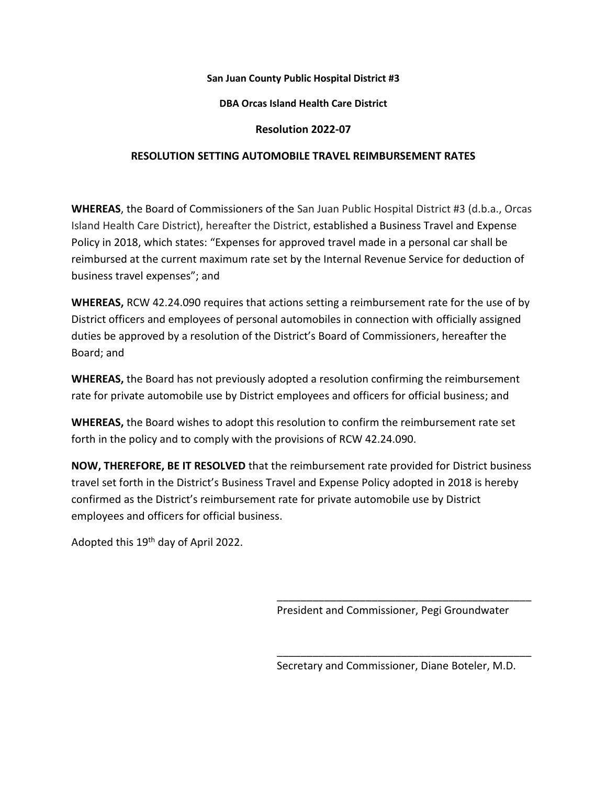### **San Juan County Public Hospital District #3**

# **DBA Orcas Island Health Care District**

# **Resolution 2022-07**

# **RESOLUTION SETTING AUTOMOBILE TRAVEL REIMBURSEMENT RATES**

**WHEREAS**, the Board of Commissioners of the San Juan Public Hospital District #3 (d.b.a., Orcas Island Health Care District), hereafter the District, established a Business Travel and Expense Policy in 2018, which states: "Expenses for approved travel made in a personal car shall be reimbursed at the current maximum rate set by the Internal Revenue Service for deduction of business travel expenses"; and

**WHEREAS,** RCW 42.24.090 requires that actions setting a reimbursement rate for the use of by District officers and employees of personal automobiles in connection with officially assigned duties be approved by a resolution of the District's Board of Commissioners, hereafter the Board; and

**WHEREAS,** the Board has not previously adopted a resolution confirming the reimbursement rate for private automobile use by District employees and officers for official business; and

**WHEREAS,** the Board wishes to adopt this resolution to confirm the reimbursement rate set forth in the policy and to comply with the provisions of RCW 42.24.090.

**NOW, THEREFORE, BE IT RESOLVED** that the reimbursement rate provided for District business travel set forth in the District's Business Travel and Expense Policy adopted in 2018 is hereby confirmed as the District's reimbursement rate for private automobile use by District employees and officers for official business.

Adopted this 19<sup>th</sup> day of April 2022.

President and Commissioner, Pegi Groundwater

\_\_\_\_\_\_\_\_\_\_\_\_\_\_\_\_\_\_\_\_\_\_\_\_\_\_\_\_\_\_\_\_\_\_\_\_\_\_\_\_\_\_\_

Secretary and Commissioner, Diane Boteler, M.D.

\_\_\_\_\_\_\_\_\_\_\_\_\_\_\_\_\_\_\_\_\_\_\_\_\_\_\_\_\_\_\_\_\_\_\_\_\_\_\_\_\_\_\_